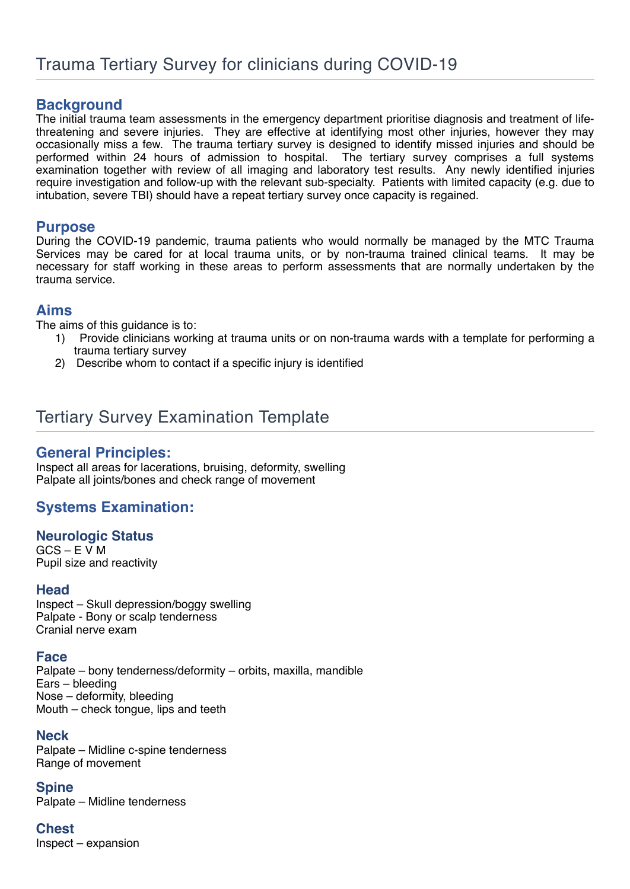# **Background**

The initial trauma team assessments in the emergency department prioritise diagnosis and treatment of lifethreatening and severe injuries. They are effective at identifying most other injuries, however they may occasionally miss a few. The trauma tertiary survey is designed to identify missed injuries and should be performed within 24 hours of admission to hospital. The tertiary survey comprises a full systems examination together with review of all imaging and laboratory test results. Any newly identified injuries require investigation and follow-up with the relevant sub-specialty. Patients with limited capacity (e.g. due to intubation, severe TBI) should have a repeat tertiary survey once capacity is regained.

### **Purpose**

During the COVID-19 pandemic, trauma patients who would normally be managed by the MTC Trauma Services may be cared for at local trauma units, or by non-trauma trained clinical teams. It may be necessary for staff working in these areas to perform assessments that are normally undertaken by the trauma service.

### **Aims**

The aims of this guidance is to:

- 1) Provide clinicians working at trauma units or on non-trauma wards with a template for performing a trauma tertiary survey
- 2) Describe whom to contact if a specific injury is identified

# Tertiary Survey Examination Template

## **General Principles:**

Inspect all areas for lacerations, bruising, deformity, swelling Palpate all joints/bones and check range of movement

# **Systems Examination:**

#### **Neurologic Status**

 $GCS - EVM$ Pupil size and reactivity

#### **Head**

Inspect – Skull depression/boggy swelling Palpate - Bony or scalp tenderness Cranial nerve exam

#### **Face**

Palpate – bony tenderness/deformity – orbits, maxilla, mandible Ears – bleeding Nose – deformity, bleeding Mouth – check tongue, lips and teeth

#### **Neck**

Palpate – Midline c-spine tenderness Range of movement

**Spine** Palpate – Midline tenderness

**Chest** Inspect – expansion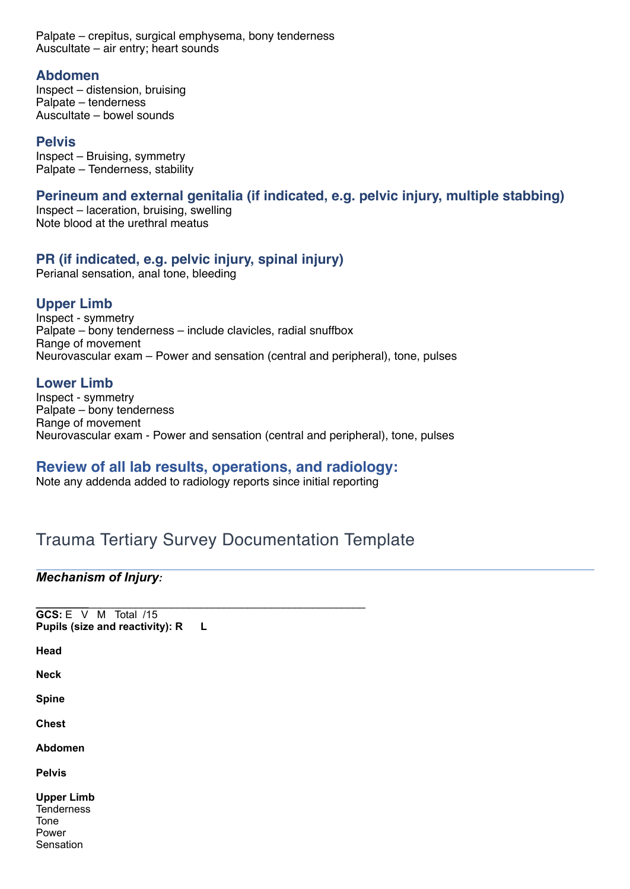Palpate – crepitus, surgical emphysema, bony tenderness Auscultate – air entry; heart sounds

#### **Abdomen**

Inspect – distension, bruising Palpate – tenderness Auscultate – bowel sounds

#### **Pelvis**

Inspect – Bruising, symmetry Palpate – Tenderness, stability

#### **Perineum and external genitalia (if indicated, e.g. pelvic injury, multiple stabbing)**

Inspect – laceration, bruising, swelling Note blood at the urethral meatus

#### **PR (if indicated, e.g. pelvic injury, spinal injury)**

Perianal sensation, anal tone, bleeding

## **Upper Limb**

Inspect - symmetry Palpate – bony tenderness – include clavicles, radial snuffbox Range of movement Neurovascular exam – Power and sensation (central and peripheral), tone, pulses

#### **Lower Limb**

Inspect - symmetry Palpate – bony tenderness Range of movement Neurovascular exam - Power and sensation (central and peripheral), tone, pulses

## **Review of all lab results, operations, and radiology:**

Note any addenda added to radiology reports since initial reporting

**\_\_\_\_\_\_\_\_\_**\_\_\_\_\_\_\_\_\_\_\_\_\_\_\_\_\_\_\_\_\_\_\_\_\_\_\_\_\_\_\_\_\_\_\_\_\_\_\_\_\_\_\_\_\_\_\_

# Trauma Tertiary Survey Documentation Template

#### *Mechanism of Injury:*

| GCS: E V M Total /15            |  |  |    |
|---------------------------------|--|--|----|
| Pupils (size and reactivity): R |  |  | L. |

**Head**

**Neck**

**Spine**

**Chest**

**Abdomen**

**Pelvis**

**Upper Limb Tenderness** Tone Power Sensation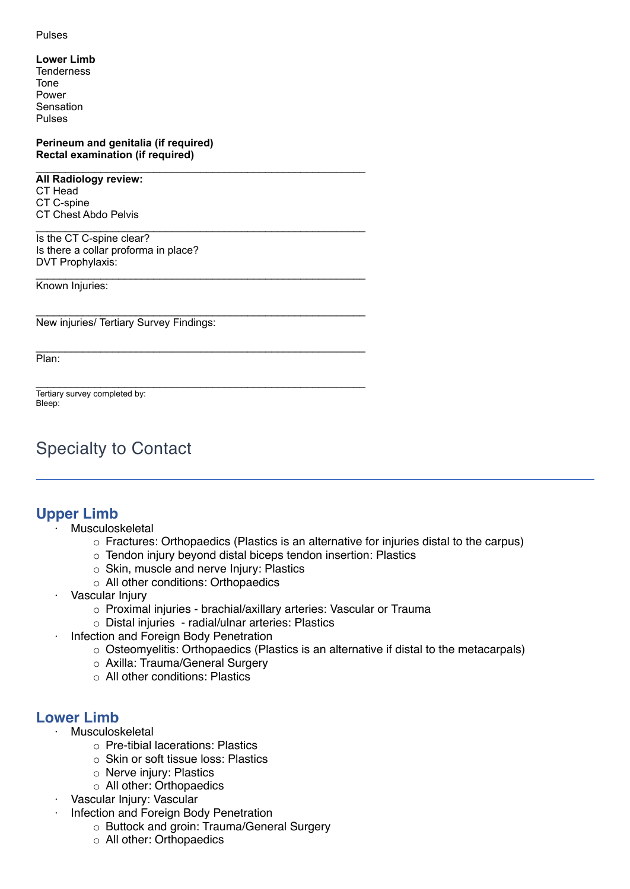#### Pulses

- **Lower Limb**
- **Tenderness** Tone Power Sensation Pulses

**Perineum and genitalia (if required) Rectal examination (if required)**

\_\_\_\_\_\_\_\_\_\_\_\_\_\_\_\_\_\_\_\_\_\_\_\_\_\_\_\_\_\_\_\_\_\_\_\_\_\_\_\_\_\_\_\_\_\_\_\_\_\_\_\_\_\_\_\_

\_\_\_\_\_\_\_\_\_\_\_\_\_\_\_\_\_\_\_\_\_\_\_\_\_\_\_\_\_\_\_\_\_\_\_\_\_\_\_\_\_\_\_\_\_\_\_\_\_\_\_\_\_\_\_\_

\_\_\_\_\_\_\_\_\_\_\_\_\_\_\_\_\_\_\_\_\_\_\_\_\_\_\_\_\_\_\_\_\_\_\_\_\_\_\_\_\_\_\_\_\_\_\_\_\_\_\_\_\_\_\_\_

\_\_\_\_\_\_\_\_\_\_\_\_\_\_\_\_\_\_\_\_\_\_\_\_\_\_\_\_\_\_\_\_\_\_\_\_\_\_\_\_\_\_\_\_\_\_\_\_\_\_\_\_\_\_\_\_

\_\_\_\_\_\_\_\_\_\_\_\_\_\_\_\_\_\_\_\_\_\_\_\_\_\_\_\_\_\_\_\_\_\_\_\_\_\_\_\_\_\_\_\_\_\_\_\_\_\_\_\_\_\_\_\_

\_\_\_\_\_\_\_\_\_\_\_\_\_\_\_\_\_\_\_\_\_\_\_\_\_\_\_\_\_\_\_\_\_\_\_\_\_\_\_\_\_\_\_\_\_\_\_\_\_\_\_\_\_\_\_\_

**All Radiology review:** CT Head CT C-spine CT Chest Abdo Pelvis

Is the CT C-spine clear? Is there a collar proforma in place? DVT Prophylaxis:

Known Injuries:

New injuries/ Tertiary Survey Findings:

Plan:

Tertiary survey completed by: Bleep:

# Specialty to Contact

# **Upper Limb**

- **Musculoskeletal** 
	- $\circ$  Fractures: Orthopaedics (Plastics is an alternative for injuries distal to the carpus)
	- o Tendon injury beyond distal biceps tendon insertion: Plastics
	- o Skin, muscle and nerve Injury: Plastics
	- o All other conditions: Orthopaedics
- · Vascular Injury
	- o Proximal injuries brachial/axillary arteries: Vascular or Trauma
	- o Distal injuries radial/ulnar arteries: Plastics
- · Infection and Foreign Body Penetration
	- o Osteomyelitis: Orthopaedics (Plastics is an alternative if distal to the metacarpals)
	- o Axilla: Trauma/General Surgery
	- o All other conditions: Plastics

# **Lower Limb**

- **Musculoskeletal** 
	- o Pre-tibial lacerations: Plastics
	- o Skin or soft tissue loss: Plastics
	- o Nerve injury: Plastics
	- o All other: Orthopaedics
- · Vascular Injury: Vascular
- · Infection and Foreign Body Penetration
	- o Buttock and groin: Trauma/General Surgery
	- o All other: Orthopaedics